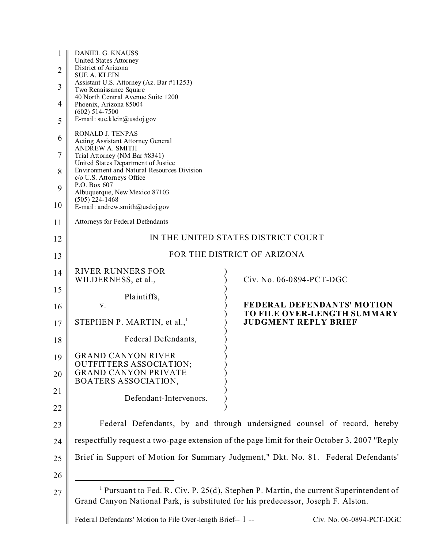| 1<br>$\overline{2}$<br>3<br>4<br>5 | DANIEL G. KNAUSS<br>United States Attorney<br>District of Arizona<br><b>SUE A. KLEIN</b><br>Assistant U.S. Attorney (Az. Bar #11253)<br>Two Renaissance Square<br>40 North Central Avenue Suite 1200<br>Phoenix, Arizona 85004<br>$(602)$ 514-7500<br>E-mail: sue.klein@usdoj.gov |                                                                                                  |
|------------------------------------|-----------------------------------------------------------------------------------------------------------------------------------------------------------------------------------------------------------------------------------------------------------------------------------|--------------------------------------------------------------------------------------------------|
| 6                                  | RONALD J. TENPAS<br>Acting Assistant Attorney General                                                                                                                                                                                                                             |                                                                                                  |
| 7                                  | <b>ANDREW A. SMITH</b><br>Trial Attorney (NM Bar #8341)                                                                                                                                                                                                                           |                                                                                                  |
| 8                                  | United States Department of Justice<br>Environment and Natural Resources Division                                                                                                                                                                                                 |                                                                                                  |
| 9                                  | c/o U.S. Attorneys Office<br>P.O. Box 607<br>Albuquerque, New Mexico 87103                                                                                                                                                                                                        |                                                                                                  |
| 10                                 | $(505)$ 224-1468<br>E-mail: andrew.smith@usdoj.gov                                                                                                                                                                                                                                |                                                                                                  |
| 11                                 | Attorneys for Federal Defendants                                                                                                                                                                                                                                                  |                                                                                                  |
| 12                                 | IN THE UNITED STATES DISTRICT COURT                                                                                                                                                                                                                                               |                                                                                                  |
| 13                                 | FOR THE DISTRICT OF ARIZONA                                                                                                                                                                                                                                                       |                                                                                                  |
| 14                                 | <b>RIVER RUNNERS FOR</b><br>WILDERNESS, et al.,                                                                                                                                                                                                                                   | Civ. No. 06-0894-PCT-DGC                                                                         |
| 15                                 | Plaintiffs,                                                                                                                                                                                                                                                                       |                                                                                                  |
| 16                                 | V.                                                                                                                                                                                                                                                                                | <b>FEDERAL DEFENDANTS' MOTION</b><br>TO FILE OVER-LENGTH SUMMARY                                 |
| 17                                 | STEPHEN P. MARTIN, et al., $1$                                                                                                                                                                                                                                                    | <b>JUDGMENT REPLY BRIEF</b>                                                                      |
| 18                                 | Federal Defendants,                                                                                                                                                                                                                                                               |                                                                                                  |
| 19                                 | <b>GRAND CANYON RIVER</b><br><b>OUTFITTERS ASSOCIATION;</b>                                                                                                                                                                                                                       |                                                                                                  |
| 20                                 | <b>GRAND CANYON PRIVATE</b><br>BOATERS ASSOCIATION,                                                                                                                                                                                                                               |                                                                                                  |
| 21                                 | Defendant-Intervenors.                                                                                                                                                                                                                                                            |                                                                                                  |
| 22                                 |                                                                                                                                                                                                                                                                                   |                                                                                                  |
| 23                                 |                                                                                                                                                                                                                                                                                   | Federal Defendants, by and through undersigned counsel of record, hereby                         |
| 24                                 | respectfully request a two-page extension of the page limit for their October 3, 2007 "Reply                                                                                                                                                                                      |                                                                                                  |
| 25                                 | Brief in Support of Motion for Summary Judgment," Dkt. No. 81. Federal Defendants'                                                                                                                                                                                                |                                                                                                  |
| 26                                 |                                                                                                                                                                                                                                                                                   |                                                                                                  |
| 27                                 | Grand Canyon National Park, is substituted for his predecessor, Joseph F. Alston.                                                                                                                                                                                                 | <sup>1</sup> Pursuant to Fed. R. Civ. P. 25(d), Stephen P. Martin, the current Superintendent of |

Federal Defendants' Motion to File Over-length Brief-- 1 -- Civ. No. 06-0894-PCT-DGC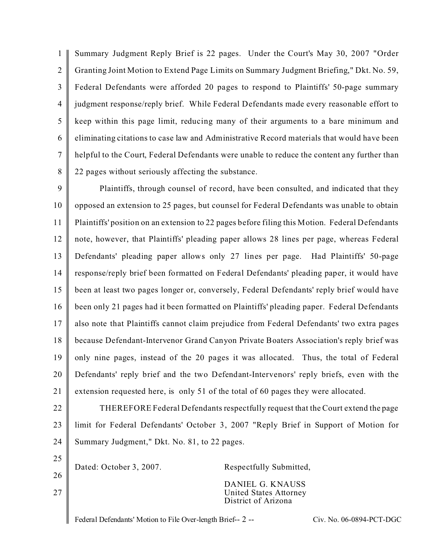1  $\mathfrak{D}$ 3 4 5 6 7 8 Summary Judgment Reply Brief is 22 pages. Under the Court's May 30, 2007 "Order Granting Joint Motion to Extend Page Limits on Summary Judgment Briefing," Dkt. No. 59, Federal Defendants were afforded 20 pages to respond to Plaintiffs' 50-page summary judgment response/reply brief. While Federal Defendants made every reasonable effort to keep within this page limit, reducing many of their arguments to a bare minimum and eliminating citations to case law and Administrative Record materials that would have been helpful to the Court, Federal Defendants were unable to reduce the content any further than 22 pages without seriously affecting the substance.

9 10 11 12 13 14 15 16 17 18 19 20 21 Plaintiffs, through counsel of record, have been consulted, and indicated that they opposed an extension to 25 pages, but counsel for Federal Defendants was unable to obtain Plaintiffs' position on an extension to 22 pages before filing this Motion. Federal Defendants note, however, that Plaintiffs' pleading paper allows 28 lines per page, whereas Federal Defendants' pleading paper allows only 27 lines per page. Had Plaintiffs' 50-page response/reply brief been formatted on Federal Defendants' pleading paper, it would have been at least two pages longer or, conversely, Federal Defendants' reply brief would have been only 21 pages had it been formatted on Plaintiffs' pleading paper. Federal Defendants also note that Plaintiffs cannot claim prejudice from Federal Defendants' two extra pages because Defendant-Intervenor Grand Canyon Private Boaters Association's reply brief was only nine pages, instead of the 20 pages it was allocated. Thus, the total of Federal Defendants' reply brief and the two Defendant-Intervenors' reply briefs, even with the extension requested here, is only 51 of the total of 60 pages they were allocated.

22 23 24 THEREFORE Federal Defendants respectfully request that the Court extend the page limit for Federal Defendants' October 3, 2007 "Reply Brief in Support of Motion for Summary Judgment," Dkt. No. 81, to 22 pages.

25 26 27 Dated: October 3, 2007. Respectfully Submitted, DANIEL G. KNAUSS United States Attorney District of Arizona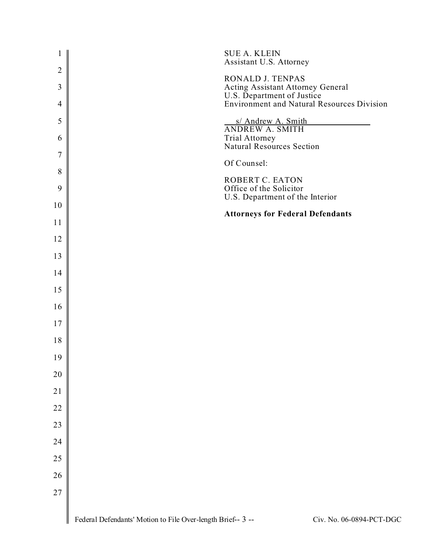| $\mathbf{1}$   | <b>SUE A. KLEIN</b><br>Assistant U.S. Attorney                                          |
|----------------|-----------------------------------------------------------------------------------------|
| $\mathfrak{2}$ | RONALD J. TENPAS                                                                        |
| 3              | Acting Assistant Attorney General<br>U.S. Department of Justice                         |
| $\overline{4}$ | <b>Environment and Natural Resources Division</b>                                       |
| 5              | s/ Andrew A. Smith<br>ANDREW A. SMITH                                                   |
| 6              | Trial Attorney<br>Natural Resources Section                                             |
| $\tau$         | Of Counsel:                                                                             |
| $8\,$          | ROBERT C. EATON                                                                         |
| 9              | Office of the Solicitor<br>U.S. Department of the Interior                              |
| 10             | <b>Attorneys for Federal Defendants</b>                                                 |
| 11             |                                                                                         |
| 12             |                                                                                         |
| 13             |                                                                                         |
| 14             |                                                                                         |
| 15             |                                                                                         |
| 16             |                                                                                         |
| 17             |                                                                                         |
| 18             |                                                                                         |
| 19             |                                                                                         |
| 20             |                                                                                         |
| 21             |                                                                                         |
| 22             |                                                                                         |
| 23             |                                                                                         |
| 24             |                                                                                         |
| 25             |                                                                                         |
| 26             |                                                                                         |
| $27\,$         |                                                                                         |
|                | Federal Defendants' Motion to File Over-length Brief-- 3 --<br>Civ. No. 06-0894-PCT-DGC |